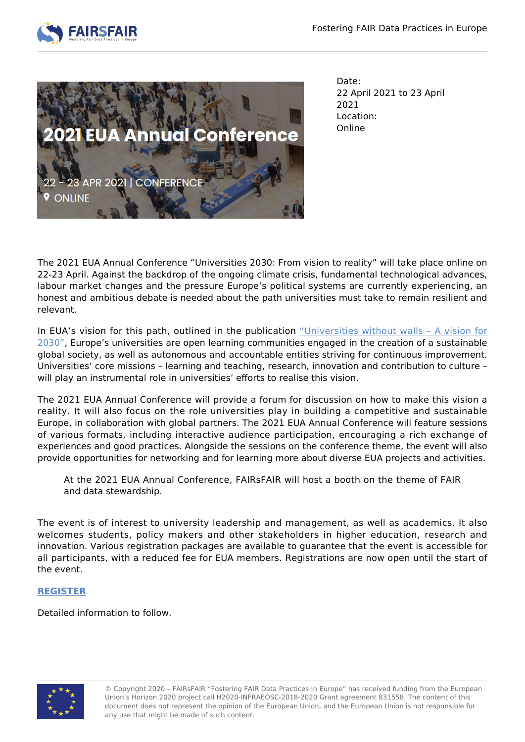



Date: 22 April 2021 to 23 April 2021 Location: Online

The 2021 EUA Annual Conference "Universities 2030: From vision to reality" will take place online on 22-23 April. Against the backdrop of the ongoing climate crisis, fundamental technological advances, labour market changes and the pressure Europe's political systems are currently experiencing, an honest and ambitious debate is needed about the path universities must take to remain resilient and relevant.

In EUA's vision for this path, outlined in the publication "Universities without walls - A vision for [2030"](https://eua.eu/resources/publications/957:universities-without-walls-–-eua’s-vision-for-europe’s-universities-in-2030.html?utm_source=social&utm_medium=Twitter&utm_name=Twitter-social-2-2-2021), Europe's universities are open learning communities engaged in the creation of a sustainable global society, as well as autonomous and accountable entities striving for continuous improvement. Universities' core missions – learning and teaching, research, innovation and contribution to culture – will play an instrumental role in universities' efforts to realise this vision.

The 2021 EUA Annual Conference will provide a forum for discussion on how to make this vision a reality. It will also focus on the role universities play in building a competitive and sustainable Europe, in collaboration with global partners. The 2021 EUA Annual Conference will feature sessions of various formats, including interactive audience participation, encouraging a rich exchange of experiences and good practices. Alongside the sessions on the conference theme, the event will also provide opportunities for networking and for learning more about diverse EUA projects and activities.

At the 2021 EUA Annual Conference, FAIRsFAIR will host a booth on the theme of FAIR and data stewardship.

The event is of interest to university leadership and management, as well as academics. It also welcomes students, policy makers and other stakeholders in higher education, research and innovation. Various registration packages are available to guarantee that the event is accessible for all participants, with a reduced fee for EUA members. Registrations are now open until the start of the event.

## **[REGISTER](https://na.eventscloud.com/ereg/index.php?eventid=603258&)**

Detailed information to follow.